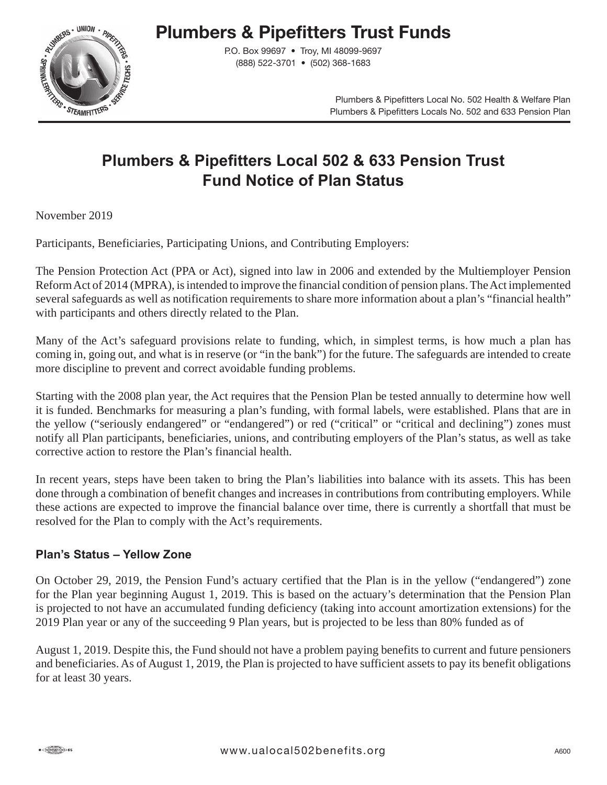# **Plumbers & Pipefitters Trust Funds**



P.O. Box 99697 • Troy, MI 48099-9697 (888) 522-3701 • (502) 368-1683

> Plumbers & Pipefitters Local No. 502 Health & Welfare Plan Plumbers & Pipefitters Locals No. 502 and 633 Pension Plan

# **Plumbers & Pipefitters Local 502 & 633 Pension Trust Fund Notice of Plan Status**

November 2019

Participants, Beneficiaries, Participating Unions, and Contributing Employers:

The Pension Protection Act (PPA or Act), signed into law in 2006 and extended by the Multiemployer Pension Reform Act of 2014 (MPRA), is intended to improve the financial condition of pension plans. The Act implemented several safeguards as well as notification requirements to share more information about a plan's "financial health" with participants and others directly related to the Plan.

Many of the Act's safeguard provisions relate to funding, which, in simplest terms, is how much a plan has coming in, going out, and what is in reserve (or "in the bank") for the future. The safeguards are intended to create more discipline to prevent and correct avoidable funding problems.

Starting with the 2008 plan year, the Act requires that the Pension Plan be tested annually to determine how well it is funded. Benchmarks for measuring a plan's funding, with formal labels, were established. Plans that are in the yellow ("seriously endangered" or "endangered") or red ("critical" or "critical and declining") zones must notify all Plan participants, beneficiaries, unions, and contributing employers of the Plan's status, as well as take corrective action to restore the Plan's financial health.

In recent years, steps have been taken to bring the Plan's liabilities into balance with its assets. This has been done through a combination of benefit changes and increases in contributions from contributing employers. While these actions are expected to improve the financial balance over time, there is currently a shortfall that must be resolved for the Plan to comply with the Act's requirements.

#### **Plan's Status – Yellow Zone**

On October 29, 2019, the Pension Fund's actuary certified that the Plan is in the yellow ("endangered") zone for the Plan year beginning August 1, 2019. This is based on the actuary's determination that the Pension Plan is projected to not have an accumulated funding deficiency (taking into account amortization extensions) for the 2019 Plan year or any of the succeeding 9 Plan years, but is projected to be less than 80% funded as of

August 1, 2019. Despite this, the Fund should not have a problem paying benefits to current and future pensioners and beneficiaries. As of August 1, 2019, the Plan is projected to have sufficient assets to pay its benefit obligations for at least 30 years.